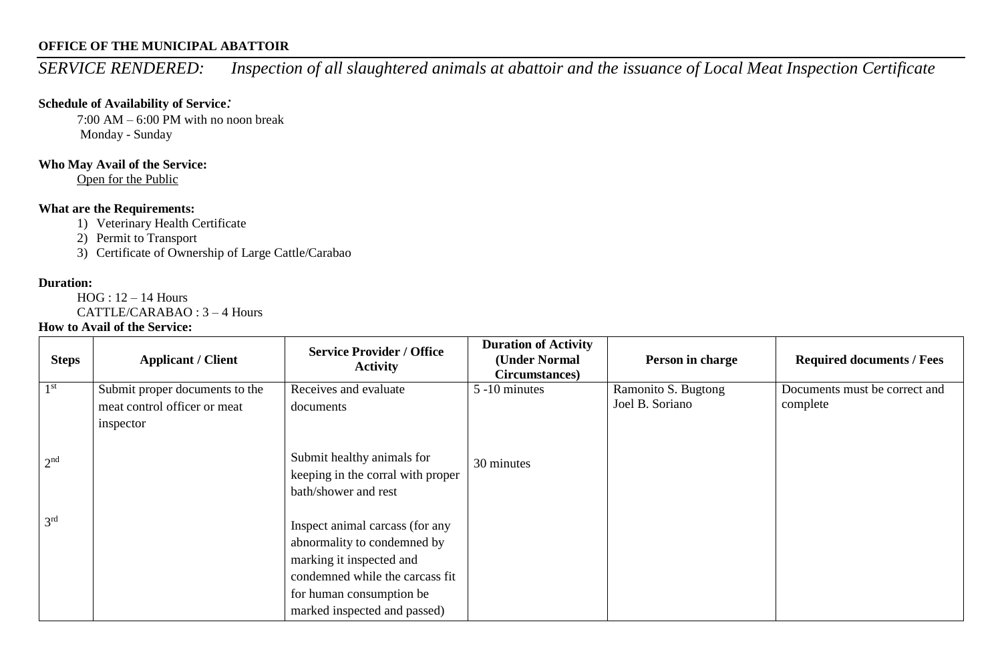## **OFFICE OF THE MUNICIPAL ABATTOIR**

*SERVICE RENDERED: Inspection of all slaughtered animals at abattoir and the issuance of Local Meat Inspection Certificate*

## **Schedule of Availability of Service***:*

7:00 AM – 6:00 PM with no noon break Monday - Sunday

## **Who May Avail of the Service:**

Open for the Public

# **What are the Requirements:**

1) Veterinary Health Certificate

2) Permit to Transport

3) Certificate of Ownership of Large Cattle/Carabao

#### **Duration:**

HOG : 12 – 14 Hours

CATTLE/CARABAO : 3 – 4 Hours

### **How to Avail of the Service:**

| <b>Steps</b>    | <b>Applicant / Client</b>      | <b>Service Provider / Office</b><br><b>Activity</b>                                     | <b>Duration of Activity</b><br>(Under Normal<br>Circumstances) | Person in charge    | <b>Required documents / Fees</b> |
|-----------------|--------------------------------|-----------------------------------------------------------------------------------------|----------------------------------------------------------------|---------------------|----------------------------------|
| 1 <sup>st</sup> | Submit proper documents to the | Receives and evaluate                                                                   | 5 -10 minutes                                                  | Ramonito S. Bugtong | Documents must be correct and    |
|                 | meat control officer or meat   | documents                                                                               |                                                                | Joel B. Soriano     | complete                         |
|                 | inspector                      |                                                                                         |                                                                |                     |                                  |
| 2 <sup>nd</sup> |                                | Submit healthy animals for<br>keeping in the corral with proper<br>bath/shower and rest | 30 minutes                                                     |                     |                                  |
| 3 <sup>rd</sup> |                                | Inspect animal carcass (for any<br>abnormality to condemned by                          |                                                                |                     |                                  |
|                 |                                | marking it inspected and                                                                |                                                                |                     |                                  |
|                 |                                | condemned while the carcass fit                                                         |                                                                |                     |                                  |
|                 |                                | for human consumption be                                                                |                                                                |                     |                                  |
|                 |                                | marked inspected and passed)                                                            |                                                                |                     |                                  |